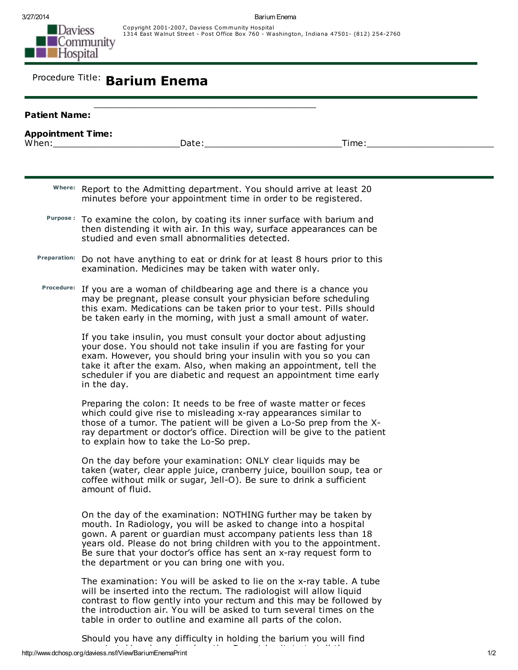Copyright 2001-2007, Daviess Community Hospital 1314 East Walnut Street - Post Office Box 760 - Washington, Indiana 47501- (812) 254-2760

## Procedure Title: Barium Enema

| <b>Patient Name:</b>     |                                                                                                                                                                                                                                                                                                                                                                                                       |
|--------------------------|-------------------------------------------------------------------------------------------------------------------------------------------------------------------------------------------------------------------------------------------------------------------------------------------------------------------------------------------------------------------------------------------------------|
| <b>Appointment Time:</b> | Date:<br>When: when the contract of the contract of the contract of the contract of the contract of the contract of the contract of the contract of the contract of the contract of the contract of the contract of the contract of the<br>Time:                                                                                                                                                      |
|                          |                                                                                                                                                                                                                                                                                                                                                                                                       |
|                          | Where: Report to the Admitting department. You should arrive at least 20<br>minutes before your appointment time in order to be registered.                                                                                                                                                                                                                                                           |
|                          | Purpose: To examine the colon, by coating its inner surface with barium and<br>then distending it with air. In this way, surface appearances can be<br>studied and even small abnormalities detected.                                                                                                                                                                                                 |
| <b>Preparation:</b>      | Do not have anything to eat or drink for at least 8 hours prior to this<br>examination. Medicines may be taken with water only.                                                                                                                                                                                                                                                                       |
|                          | Procedure: If you are a woman of childbearing age and there is a chance you<br>may be pregnant, please consult your physician before scheduling<br>this exam. Medications can be taken prior to your test. Pills should<br>be taken early in the morning, with just a small amount of water.                                                                                                          |
|                          | If you take insulin, you must consult your doctor about adjusting<br>your dose. You should not take insulin if you are fasting for your<br>exam. However, you should bring your insulin with you so you can<br>take it after the exam. Also, when making an appointment, tell the<br>scheduler if you are diabetic and request an appointment time early<br>in the day.                               |
|                          | Preparing the colon: It needs to be free of waste matter or feces<br>which could give rise to misleading x-ray appearances similar to<br>those of a tumor. The patient will be given a Lo-So prep from the X-<br>ray department or doctor's office. Direction will be give to the patient<br>to explain how to take the Lo-So prep.                                                                   |
|                          | On the day before your examination: ONLY clear liquids may be<br>taken (water, clear apple juice, cranberry juice, bouillon soup, tea or<br>coffee without milk or sugar, Jell-O). Be sure to drink a sufficient<br>amount of fluid.                                                                                                                                                                  |
|                          | On the day of the examination: NOTHING further may be taken by<br>mouth. In Radiology, you will be asked to change into a hospital<br>gown. A parent or guardian must accompany patients less than 18<br>years old. Please do not bring children with you to the appointment.<br>Be sure that your doctor's office has sent an x-ray request form to<br>the department or you can bring one with you. |
|                          | The examination: You will be asked to lie on the x-ray table. A tube<br>will be inserted into the rectum. The radiologist will allow liquid<br>contrast to flow gently into your rectum and this may be followed by<br>the introduction air. You will be asked to turn several times on the<br>table in order to outline and examine all parts of the colon.                                          |

http://www.dchosp.org/daviess.nsf/View/BariumEnemaPrint 1/2 Should you have any difficulty in holding the barium you will find ease in taking deep slow breaths. Do not her taking deep slow breaths. Do not help the tell the tell the tell <br>The doctor of the complete to the complete to the tell the tell the complete to the complete the complete to t